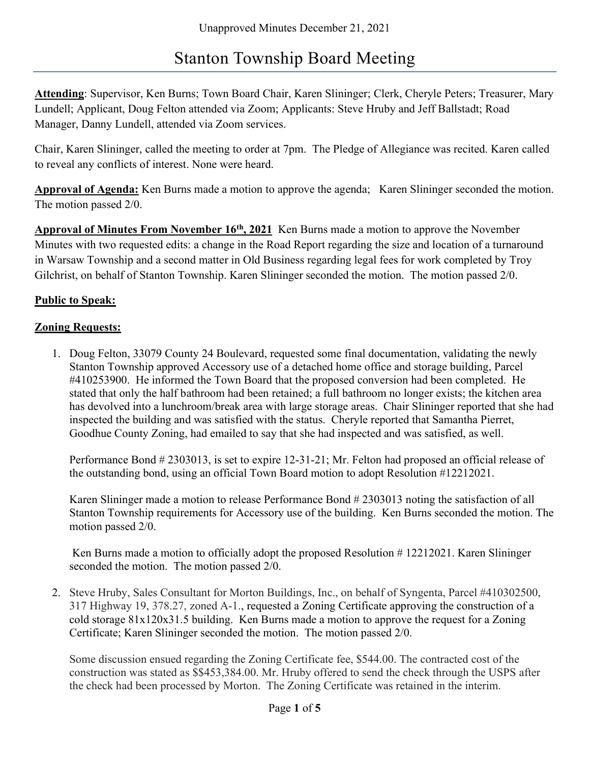# Stanton Township Board Meeting

Attending: Supervisor, Ken Burns; Town Board Chair, Karen Slininger; Clerk, Cheryle Peters; Treasurer, Mary Lundell; Applicant, Doug Felton attended via Zoom; Applicants: Steve Hruby and Jeff Ballstadt; Road Manager, Danny Lundell, attended via Zoom services.

Chair, Karen Slininger, called the meeting to order at 7pm. The Pledge of Allegiance was recited. Karen called to reveal any conflicts of interest. None were heard.

Approval of Agenda: Ken Burns made a motion to approve the agenda; Karen Slininger seconded the motion. The motion passed 2/0.

Approval of Minutes From November 16<sup>th</sup>, 2021 Ken Burns made a motion to approve the November Minutes with two requested edits: a change in the Road Report regarding the size and location of a turnaround in Warsaw Township and a second matter in Old Business regarding legal fees for work completed by Troy Gilchrist, on behalf of Stanton Township. Karen Slininger seconded the motion. The motion passed 2/0.

## Public to Speak:

#### **Zoning Requests:**

1. Doug Felton, 33079 County 24 Boulevard, requested some final documentation, validating the newly Stanton Township approved Accessory use of a detached home office and storage building, Parcel #410253900. He informed the Town Board that the proposed conversion had been completed. He stated that only the half bathroom had been retained; a full bathroom no longer exists; the kitchen area has devolved into a lunchroom/break area with large storage areas. Chair Slininger reported that she had inspected the building and was satisfied with the status. Cheryle reported that Samantha Pierret, Goodhue County Zoning, had emailed to say that she had inspected and was satisfied, as well.

Performance Bond # 2303013, is set to expire 12-31-21; Mr. Felton had proposed an official release of the outstanding bond, using an official Town Board motion to adopt Resolution #12212021.

Karen Slininger made a motion to release Performance Bond # 2303013 noting the satisfaction of all Stanton Township requirements for Accessory use of the building. Ken Burns seconded the motion. The motion passed 2/0.

Ken Burns made a motion to officially adopt the proposed Resolution # 12212021. Karen Slininger seconded the motion. The motion passed 2/0.

2. Steve Hruby, Sales Consultant for Morton Buildings, Inc., on behalf of Syngenta, Parcel #410302500, 317 Highway 19, 378.27, zoned A-1., requested a Zoning Certificate approving the construction of a cold storage 81x120x31.5 building. Ken Burns made a motion to approve the request for a Zoning Certificate; Karen Slininger seconded the motion. The motion passed 2/0.

Some discussion ensued regarding the Zoning Certificate fee, \$544.00. The contracted cost of the construction was stated as \$\$453,384.00. Mr. Hruby offered to send the check through the USPS after the check had been processed by Morton. The Zoning Certificate was retained in the interim.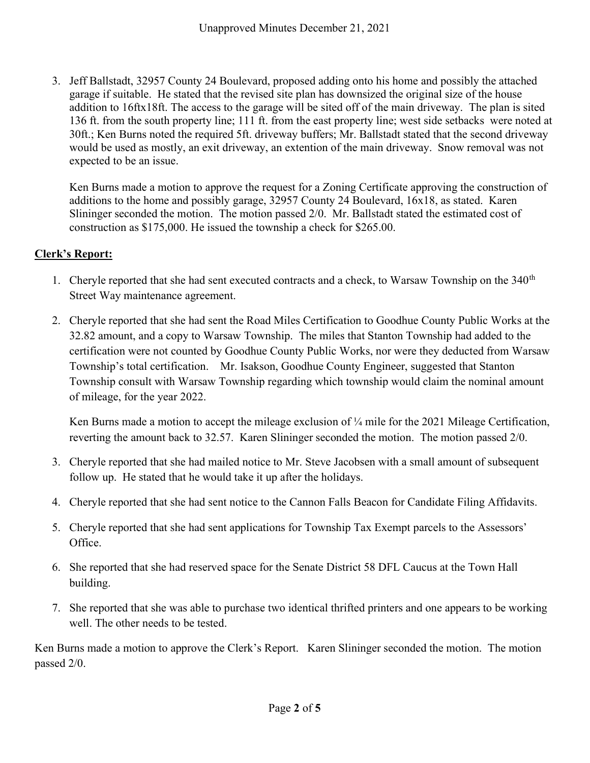3. Jeff Ballstadt, 32957 County 24 Boulevard, proposed adding onto his home and possibly the attached garage if suitable. He stated that the revised site plan has downsized the original size of the house addition to 16ftx18ft. The access to the garage will be sited off of the main driveway. The plan is sited 136 ft. from the south property line; 111 ft. from the east property line; west side setbacks were noted at 30ft.; Ken Burns noted the required 5ft. driveway buffers; Mr. Ballstadt stated that the second driveway would be used as mostly, an exit driveway, an extention of the main driveway. Snow removal was not expected to be an issue.

Ken Burns made a motion to approve the request for a Zoning Certificate approving the construction of additions to the home and possibly garage, 32957 County 24 Boulevard, 16x18, as stated. Karen Slininger seconded the motion. The motion passed 2/0. Mr. Ballstadt stated the estimated cost of construction as \$175,000. He issued the township a check for \$265.00.

## Clerk's Report:

- 1. Cheryle reported that she had sent executed contracts and a check, to Warsaw Township on the  $340<sup>th</sup>$ Street Way maintenance agreement.
- 2. Cheryle reported that she had sent the Road Miles Certification to Goodhue County Public Works at the 32.82 amount, and a copy to Warsaw Township. The miles that Stanton Township had added to the certification were not counted by Goodhue County Public Works, nor were they deducted from Warsaw Township's total certification. Mr. Isakson, Goodhue County Engineer, suggested that Stanton Township consult with Warsaw Township regarding which township would claim the nominal amount of mileage, for the year 2022.

Ken Burns made a motion to accept the mileage exclusion of  $\frac{1}{4}$  mile for the 2021 Mileage Certification, reverting the amount back to 32.57. Karen Slininger seconded the motion. The motion passed 2/0.

- 3. Cheryle reported that she had mailed notice to Mr. Steve Jacobsen with a small amount of subsequent follow up. He stated that he would take it up after the holidays.
- 4. Cheryle reported that she had sent notice to the Cannon Falls Beacon for Candidate Filing Affidavits.
- 5. Cheryle reported that she had sent applications for Township Tax Exempt parcels to the Assessors' Office.
- 6. She reported that she had reserved space for the Senate District 58 DFL Caucus at the Town Hall building.
- 7. She reported that she was able to purchase two identical thrifted printers and one appears to be working well. The other needs to be tested.

Ken Burns made a motion to approve the Clerk's Report. Karen Slininger seconded the motion. The motion passed 2/0.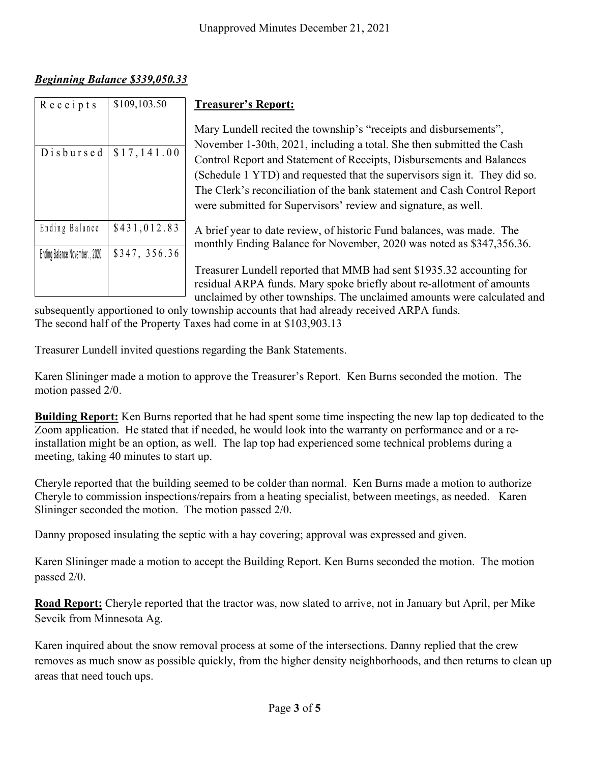# Beginning Balance \$339,050.33

|                                                                                   | Unapproved Minutes December 21, 2021                                                                                                                                                                                                                                                                                                                                                                                                          |
|-----------------------------------------------------------------------------------|-----------------------------------------------------------------------------------------------------------------------------------------------------------------------------------------------------------------------------------------------------------------------------------------------------------------------------------------------------------------------------------------------------------------------------------------------|
| <b>Beginning Balance \$339,050.33</b>                                             |                                                                                                                                                                                                                                                                                                                                                                                                                                               |
| $R$ e c e i p t s<br>\$109,103.50                                                 | <b>Treasurer's Report:</b>                                                                                                                                                                                                                                                                                                                                                                                                                    |
| Disbursed<br>\$17,141.00                                                          | Mary Lundell recited the township's "receipts and disbursements",<br>November 1-30th, 2021, including a total. She then submitted the Cash<br>Control Report and Statement of Receipts, Disbursements and Balances<br>(Schedule 1 YTD) and requested that the supervisors sign it. They did so.<br>The Clerk's reconciliation of the bank statement and Cash Control Report<br>were submitted for Supervisors' review and signature, as well. |
| \$431,012.83<br>Ending Balance<br>\$347, 356.36<br>Ending Balance November., 2020 | A brief year to date review, of historic Fund balances, was made. The<br>monthly Ending Balance for November, 2020 was noted as \$347,356.36.                                                                                                                                                                                                                                                                                                 |
|                                                                                   | Treasurer Lundell reported that MMB had sent \$1935.32 accounting for<br>residual ARPA funds. Mary spoke briefly about re-allotment of amounts<br>unclaimed by other townships. The unclaimed amounts were calculated and<br>subsequently apportioned to only township accounts that had already received ARPA funds.                                                                                                                         |

subsequently apportioned to only township accounts that had already received ARPA funds. The second half of the Property Taxes had come in at \$103,903.13

Treasurer Lundell invited questions regarding the Bank Statements.

Karen Slininger made a motion to approve the Treasurer's Report. Ken Burns seconded the motion. The motion passed 2/0.

Building Report: Ken Burns reported that he had spent some time inspecting the new lap top dedicated to the Zoom application. He stated that if needed, he would look into the warranty on performance and or a reinstallation might be an option, as well. The lap top had experienced some technical problems during a meeting, taking 40 minutes to start up.

Cheryle reported that the building seemed to be colder than normal. Ken Burns made a motion to authorize Cheryle to commission inspections/repairs from a heating specialist, between meetings, as needed. Karen Slininger seconded the motion. The motion passed 2/0.

Danny proposed insulating the septic with a hay covering; approval was expressed and given.

Karen Slininger made a motion to accept the Building Report. Ken Burns seconded the motion. The motion passed 2/0.

Road Report: Cheryle reported that the tractor was, now slated to arrive, not in January but April, per Mike Sevcik from Minnesota Ag.

Karen inquired about the snow removal process at some of the intersections. Danny replied that the crew removes as much snow as possible quickly, from the higher density neighborhoods, and then returns to clean up areas that need touch ups.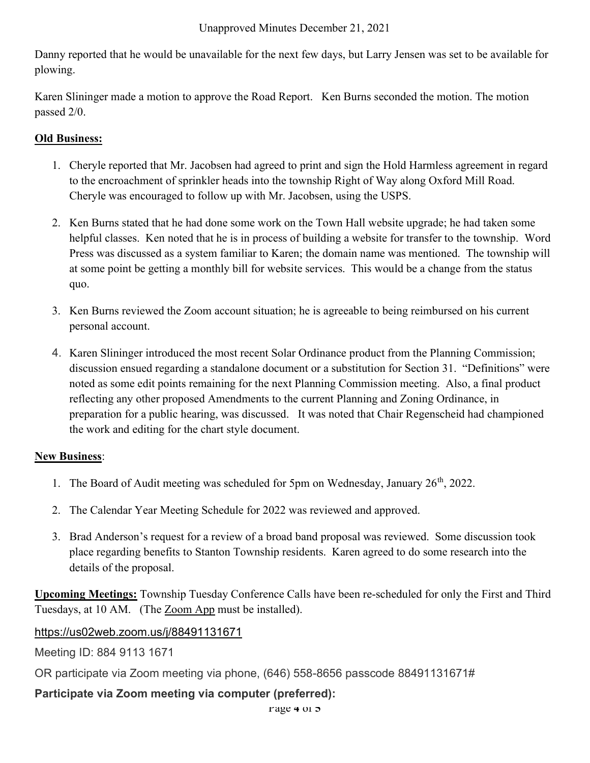#### Unapproved Minutes December 21, 2021

Danny reported that he would be unavailable for the next few days, but Larry Jensen was set to be available for plowing.

Karen Slininger made a motion to approve the Road Report. Ken Burns seconded the motion. The motion passed 2/0.

## Old Business:

- 1. Cheryle reported that Mr. Jacobsen had agreed to print and sign the Hold Harmless agreement in regard to the encroachment of sprinkler heads into the township Right of Way along Oxford Mill Road. Cheryle was encouraged to follow up with Mr. Jacobsen, using the USPS.
- 2. Ken Burns stated that he had done some work on the Town Hall website upgrade; he had taken some helpful classes. Ken noted that he is in process of building a website for transfer to the township. Word Press was discussed as a system familiar to Karen; the domain name was mentioned. The township will at some point be getting a monthly bill for website services. This would be a change from the status quo.
- 3. Ken Burns reviewed the Zoom account situation; he is agreeable to being reimbursed on his current personal account.
- 4. Karen Slininger introduced the most recent Solar Ordinance product from the Planning Commission; discussion ensued regarding a standalone document or a substitution for Section 31. "Definitions" were noted as some edit points remaining for the next Planning Commission meeting. Also, a final product reflecting any other proposed Amendments to the current Planning and Zoning Ordinance, in preparation for a public hearing, was discussed. It was noted that Chair Regenscheid had championed the work and editing for the chart style document.

## New Business:

- 1. The Board of Audit meeting was scheduled for 5pm on Wednesday, January  $26<sup>th</sup>$ , 2022.
- 2. The Calendar Year Meeting Schedule for 2022 was reviewed and approved.
- 3. Brad Anderson's request for a review of a broad band proposal was reviewed. Some discussion took place regarding benefits to Stanton Township residents. Karen agreed to do some research into the details of the proposal.

Upcoming Meetings: Township Tuesday Conference Calls have been re-scheduled for only the First and Third Tuesdays, at 10 AM. (The Zoom App must be installed).

# https://us02web.zoom.us/j/88491131671

Meeting ID: 884 9113 1671

OR participate via Zoom meeting via phone, (646) 558-8656 passcode 88491131671#

# Participate via Zoom meeting via computer (preferred):

rage 4 of 5